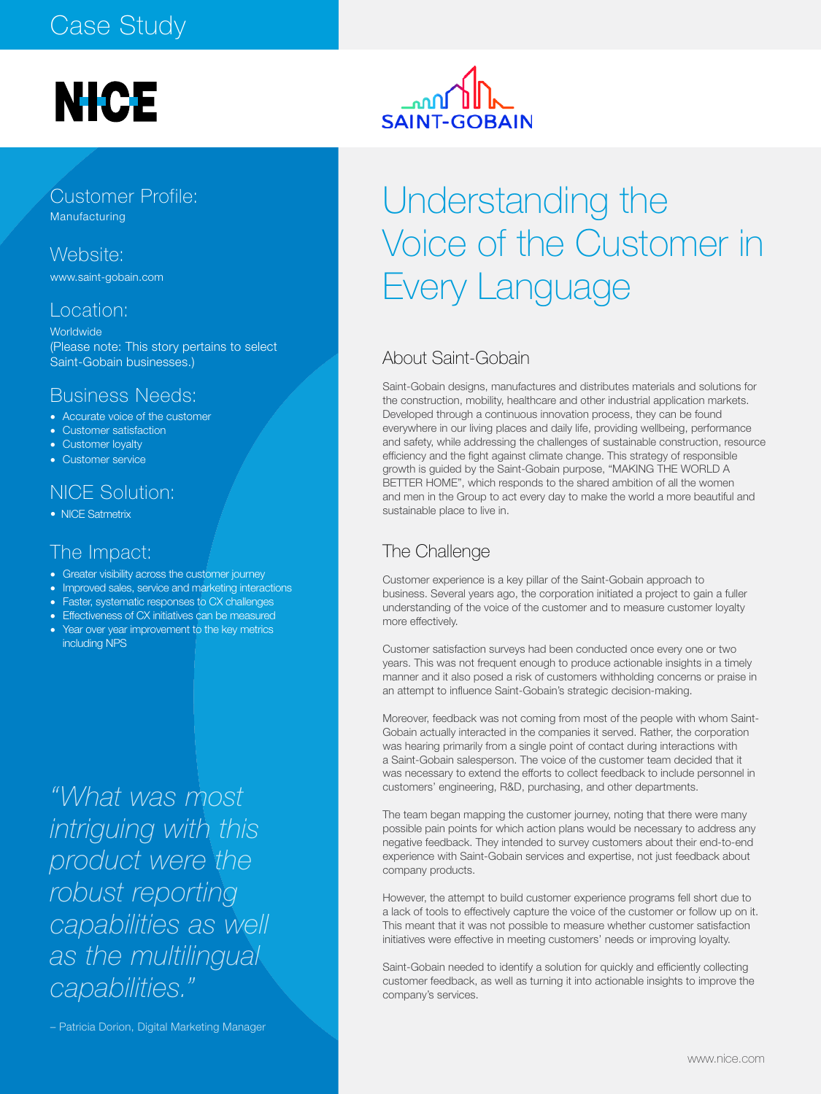#### Case Study

## **NICE**

Customer Profile: Manufacturing

Website:

www.saint-gobain.com

#### Location:

**Worldwide** (Please note: This story pertains to select Saint-Gobain businesses.)

#### Business Needs:

- Accurate voice of the customer
- Customer satisfaction
- Customer loyalty
- Customer service

#### NICE Solution:

• NICE Satmetrix

#### The Impact:

- Greater visibility across the customer journey
- Improved sales, service and marketing interactions
- Faster, systematic responses to CX challenges
- Effectiveness of CX initiatives can be measured
- Year over year improvement to the key metrics including NPS

*"What was most intriguing with this product were the robust reporting capabilities as well as the multilingual capabilities."* 

– Patricia Dorion, Digital Marketing Manager

# **SAINT-G**

### Understanding the Voice of the Customer in Every Language

#### About Saint-Gobain

Saint-Gobain designs, manufactures and distributes materials and solutions for the construction, mobility, healthcare and other industrial application markets. Developed through a continuous innovation process, they can be found everywhere in our living places and daily life, providing wellbeing, performance and safety, while addressing the challenges of sustainable construction, resource efficiency and the fight against climate change. This strategy of responsible growth is guided by the Saint-Gobain purpose, "MAKING THE WORLD A BETTER HOME", which responds to the shared ambition of all the women and men in the Group to act every day to make the world a more beautiful and sustainable place to live in.

#### The Challenge

Customer experience is a key pillar of the Saint-Gobain approach to business. Several years ago, the corporation initiated a project to gain a fuller understanding of the voice of the customer and to measure customer loyalty more effectively.

Customer satisfaction surveys had been conducted once every one or two years. This was not frequent enough to produce actionable insights in a timely manner and it also posed a risk of customers withholding concerns or praise in an attempt to influence Saint-Gobain's strategic decision-making.

Moreover, feedback was not coming from most of the people with whom Saint-Gobain actually interacted in the companies it served. Rather, the corporation was hearing primarily from a single point of contact during interactions with a Saint-Gobain salesperson. The voice of the customer team decided that it was necessary to extend the efforts to collect feedback to include personnel in customers' engineering, R&D, purchasing, and other departments.

The team began mapping the customer journey, noting that there were many possible pain points for which action plans would be necessary to address any negative feedback. They intended to survey customers about their end-to-end experience with Saint-Gobain services and expertise, not just feedback about company products.

However, the attempt to build customer experience programs fell short due to a lack of tools to effectively capture the voice of the customer or follow up on it. This meant that it was not possible to measure whether customer satisfaction initiatives were effective in meeting customers' needs or improving loyalty.

Saint-Gobain needed to identify a solution for quickly and efficiently collecting customer feedback, as well as turning it into actionable insights to improve the company's services.